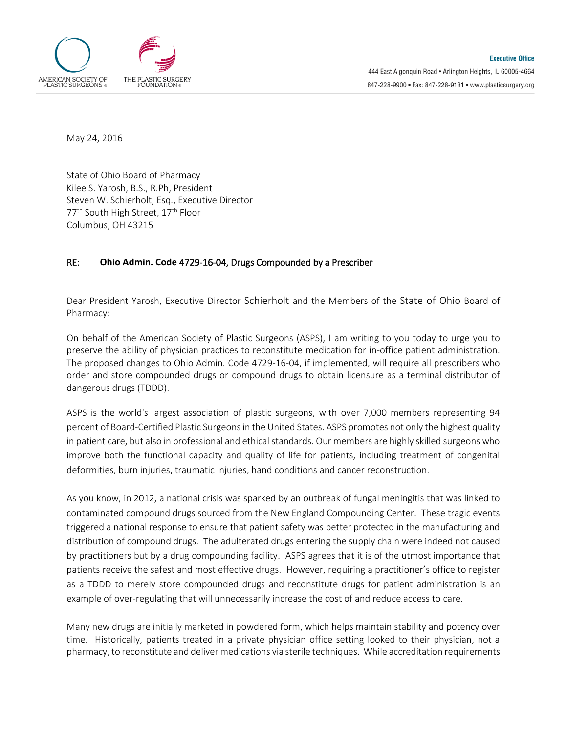

May 24, 2016

State of Ohio Board of Pharmacy Kilee S. Yarosh, B.S., R.Ph, President Steven W. Schierholt, Esq., Executive Director 77<sup>th</sup> South High Street, 17<sup>th</sup> Floor Columbus, OH 43215

## RE: **Ohio Admin. Code** 4729-16-04, Drugs Compounded by a Prescriber

Dear President Yarosh, Executive Director Schierholt and the Members of the State of Ohio Board of Pharmacy:

On behalf of the American Society of Plastic Surgeons (ASPS), I am writing to you today to urge you to preserve the ability of physician practices to reconstitute medication for in-office patient administration. The proposed changes to Ohio Admin. Code 4729-16-04, if implemented, will require all prescribers who order and store compounded drugs or compound drugs to obtain licensure as a terminal distributor of dangerous drugs (TDDD).

ASPS is the world's largest association of plastic surgeons, with over 7,000 members representing 94 percent of Board-Certified Plastic Surgeons in the United States. ASPS promotes not only the highest quality in patient care, but also in professional and ethical standards. Our members are highly skilled surgeons who improve both the functional capacity and quality of life for patients, including treatment of congenital deformities, burn injuries, traumatic injuries, hand conditions and cancer reconstruction.

As you know, in 2012, a national crisis was sparked by an outbreak of fungal meningitis that was linked to contaminated compound drugs sourced from the New England Compounding Center. These tragic events triggered a national response to ensure that patient safety was better protected in the manufacturing and distribution of compound drugs. The adulterated drugs entering the supply chain were indeed not caused by practitioners but by a drug compounding facility. ASPS agrees that it is of the utmost importance that patients receive the safest and most effective drugs. However, requiring a practitioner's office to register as a TDDD to merely store compounded drugs and reconstitute drugs for patient administration is an example of over-regulating that will unnecessarily increase the cost of and reduce access to care.

Many new drugs are initially marketed in powdered form, which helps maintain stability and potency over time. Historically, patients treated in a private physician office setting looked to their physician, not a pharmacy, to reconstitute and deliver medications via sterile techniques. While accreditation requirements